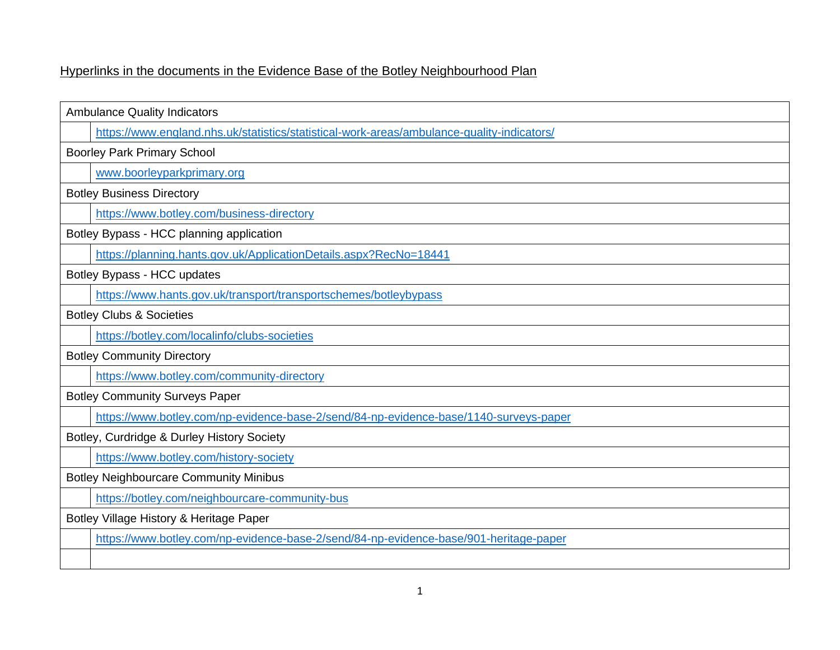## Hyperlinks in the documents in the Evidence Base of the Botley Neighbourhood Plan

| <b>Ambulance Quality Indicators</b>                                                        |  |
|--------------------------------------------------------------------------------------------|--|
| https://www.england.nhs.uk/statistics/statistical-work-areas/ambulance-quality-indicators/ |  |
|                                                                                            |  |
| <b>Boorley Park Primary School</b>                                                         |  |
| www.boorleyparkprimary.org                                                                 |  |
| <b>Botley Business Directory</b>                                                           |  |
| https://www.botley.com/business-directory                                                  |  |
| Botley Bypass - HCC planning application                                                   |  |
| https://planning.hants.gov.uk/ApplicationDetails.aspx?RecNo=18441                          |  |
| Botley Bypass - HCC updates                                                                |  |
| https://www.hants.gov.uk/transport/transportschemes/botleybypass                           |  |
| <b>Botley Clubs &amp; Societies</b>                                                        |  |
| https://botley.com/localinfo/clubs-societies                                               |  |
| <b>Botley Community Directory</b>                                                          |  |
| https://www.botley.com/community-directory                                                 |  |
| <b>Botley Community Surveys Paper</b>                                                      |  |
| https://www.botley.com/np-evidence-base-2/send/84-np-evidence-base/1140-surveys-paper      |  |
| Botley, Curdridge & Durley History Society                                                 |  |
| https://www.botley.com/history-society                                                     |  |
| <b>Botley Neighbourcare Community Minibus</b>                                              |  |
| https://botley.com/neighbourcare-community-bus                                             |  |
| Botley Village History & Heritage Paper                                                    |  |
| https://www.botley.com/np-evidence-base-2/send/84-np-evidence-base/901-heritage-paper      |  |
|                                                                                            |  |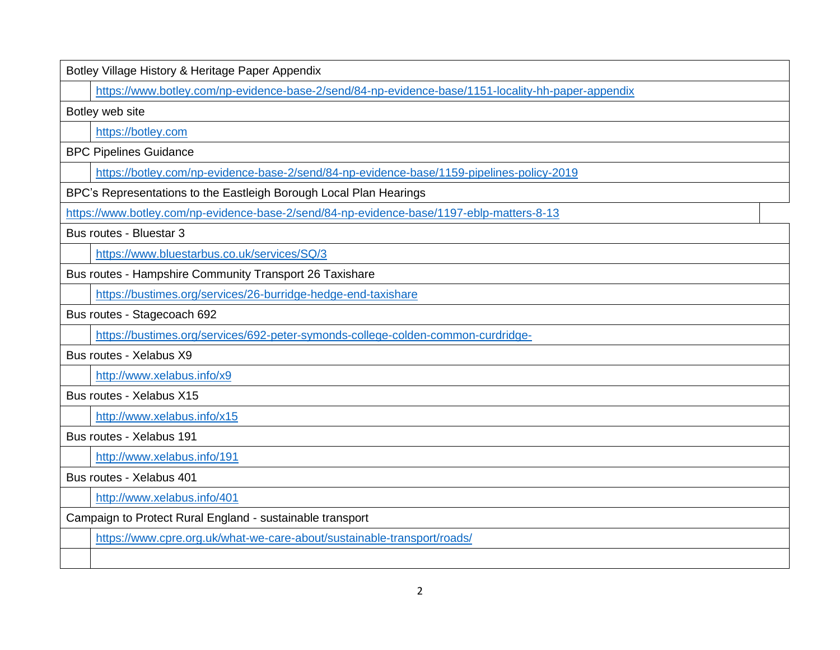Botley Village History & Heritage Paper Appendix

<https://www.botley.com/np-evidence-base-2/send/84-np-evidence-base/1151-locality-hh-paper-appendix>

Botley web site

[https://botley.com](https://botley.com/)

BPC Pipelines Guidance

<https://botley.com/np-evidence-base-2/send/84-np-evidence-base/1159-pipelines-policy-2019>

BPC's Representations to the Eastleigh Borough Local Plan Hearings

<https://www.botley.com/np-evidence-base-2/send/84-np-evidence-base/1197-eblp-matters-8-13>

Bus routes - Bluestar 3

<https://www.bluestarbus.co.uk/services/SQ/3>

Bus routes - Hampshire Community Transport 26 Taxishare

<https://bustimes.org/services/26-burridge-hedge-end-taxishare>

Bus routes - Stagecoach 692

<https://bustimes.org/services/692-peter-symonds-college-colden-common-curdridge->

Bus routes - Xelabus X9

<http://www.xelabus.info/x9>

Bus routes - Xelabus X15

<http://www.xelabus.info/x15>

Bus routes - Xelabus 191

<http://www.xelabus.info/191>

Bus routes - Xelabus 401

<http://www.xelabus.info/401>

Campaign to Protect Rural England - sustainable transport

<https://www.cpre.org.uk/what-we-care-about/sustainable-transport/roads/>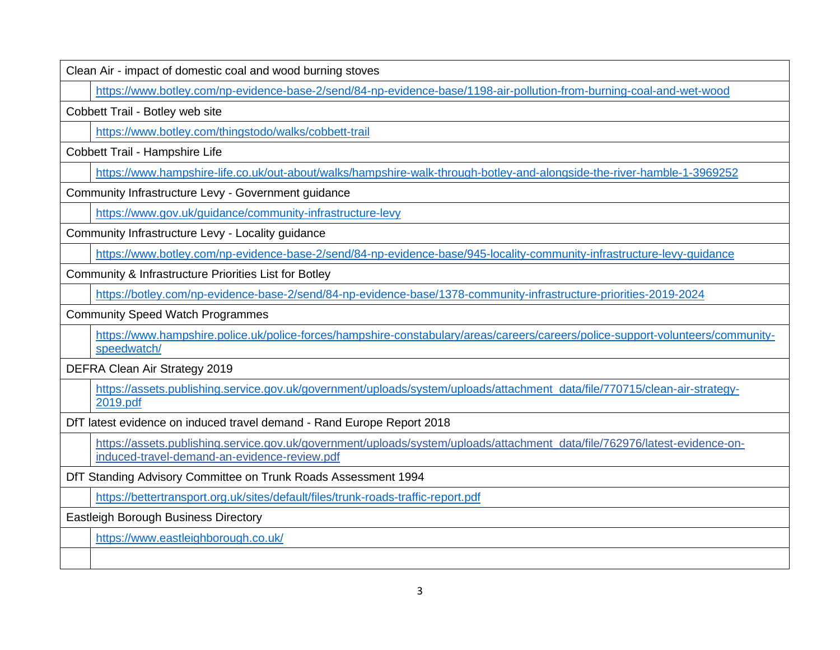Clean Air - impact of domestic coal and wood burning stoves

<https://www.botley.com/np-evidence-base-2/send/84-np-evidence-base/1198-air-pollution-from-burning-coal-and-wet-wood>

Cobbett Trail - Botley web site

<https://www.botley.com/thingstodo/walks/cobbett-trail>

Cobbett Trail - Hampshire Life

<https://www.hampshire-life.co.uk/out-about/walks/hampshire-walk-through-botley-and-alongside-the-river-hamble-1-3969252>

Community Infrastructure Levy - Government guidance

<https://www.gov.uk/guidance/community-infrastructure-levy>

Community Infrastructure Levy - Locality guidance

<https://www.botley.com/np-evidence-base-2/send/84-np-evidence-base/945-locality-community-infrastructure-levy-guidance>

Community & Infrastructure Priorities List for Botley

<https://botley.com/np-evidence-base-2/send/84-np-evidence-base/1378-community-infrastructure-priorities-2019-2024>

Community Speed Watch Programmes

[https://www.hampshire.police.uk/police-forces/hampshire-constabulary/areas/careers/careers/police-support-volunteers/community](https://www.hampshire.police.uk/police-forces/hampshire-constabulary/areas/careers/careers/police-support-volunteers/community-speedwatch/)[speedwatch/](https://www.hampshire.police.uk/police-forces/hampshire-constabulary/areas/careers/careers/police-support-volunteers/community-speedwatch/)

DEFRA Clean Air Strategy 2019

[https://assets.publishing.service.gov.uk/government/uploads/system/uploads/attachment\\_data/file/770715/clean-air-strategy-](https://assets.publishing.service.gov.uk/government/uploads/system/uploads/attachment_data/file/770715/clean-air-strategy-2019.pdf)[2019.pdf](https://assets.publishing.service.gov.uk/government/uploads/system/uploads/attachment_data/file/770715/clean-air-strategy-2019.pdf)

DfT latest evidence on induced travel demand - Rand Europe Report 2018

[https://assets.publishing.service.gov.uk/government/uploads/system/uploads/attachment\\_data/file/762976/latest-evidence-on](https://assets.publishing.service.gov.uk/government/uploads/system/uploads/attachment_data/file/762976/latest-evidence-on-induced-travel-demand-an-evidence-review.pdf)[induced-travel-demand-an-evidence-review.pdf](https://assets.publishing.service.gov.uk/government/uploads/system/uploads/attachment_data/file/762976/latest-evidence-on-induced-travel-demand-an-evidence-review.pdf)

DfT Standing Advisory Committee on Trunk Roads Assessment 1994

<https://bettertransport.org.uk/sites/default/files/trunk-roads-traffic-report.pdf>

Eastleigh Borough Business Directory

<https://www.eastleighborough.co.uk/>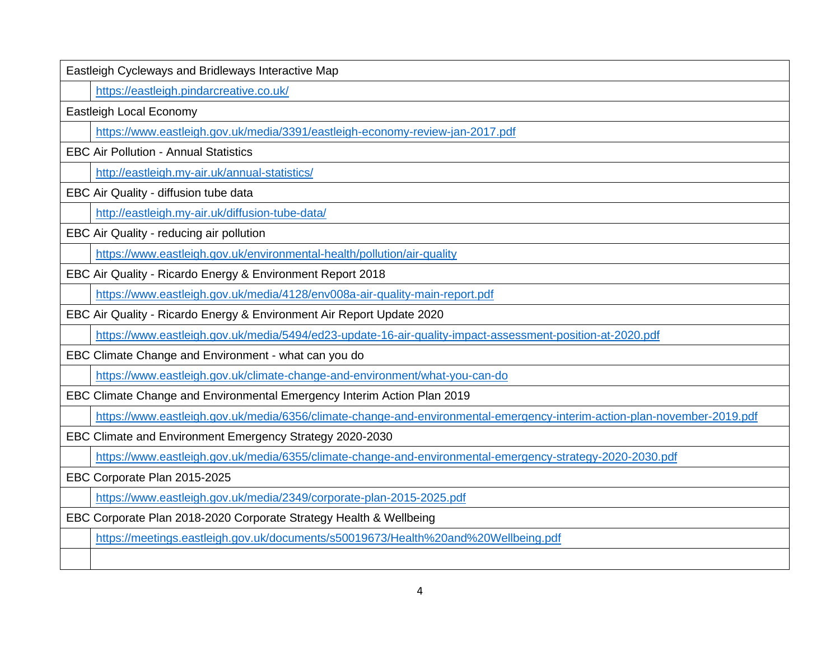Eastleigh Cycleways and Bridleways Interactive Map <https://eastleigh.pindarcreative.co.uk/> Eastleigh Local Economy <https://www.eastleigh.gov.uk/media/3391/eastleigh-economy-review-jan-2017.pdf> EBC Air Pollution - Annual Statistics <http://eastleigh.my-air.uk/annual-statistics/> EBC Air Quality - diffusion tube data <http://eastleigh.my-air.uk/diffusion-tube-data/> EBC Air Quality - reducing air pollution <https://www.eastleigh.gov.uk/environmental-health/pollution/air-quality> EBC Air Quality - Ricardo Energy & Environment Report 2018 <https://www.eastleigh.gov.uk/media/4128/env008a-air-quality-main-report.pdf> EBC Air Quality - Ricardo Energy & Environment Air Report Update 2020 <https://www.eastleigh.gov.uk/media/5494/ed23-update-16-air-quality-impact-assessment-position-at-2020.pdf> EBC Climate Change and Environment - what can you do <https://www.eastleigh.gov.uk/climate-change-and-environment/what-you-can-do> EBC Climate Change and Environmental Emergency Interim Action Plan 2019 <https://www.eastleigh.gov.uk/media/6356/climate-change-and-environmental-emergency-interim-action-plan-november-2019.pdf> EBC Climate and Environment Emergency Strategy 2020-2030 <https://www.eastleigh.gov.uk/media/6355/climate-change-and-environmental-emergency-strategy-2020-2030.pdf> EBC Corporate Plan 2015-2025 <https://www.eastleigh.gov.uk/media/2349/corporate-plan-2015-2025.pdf> EBC Corporate Plan 2018-2020 Corporate Strategy Health & Wellbeing <https://meetings.eastleigh.gov.uk/documents/s50019673/Health%20and%20Wellbeing.pdf>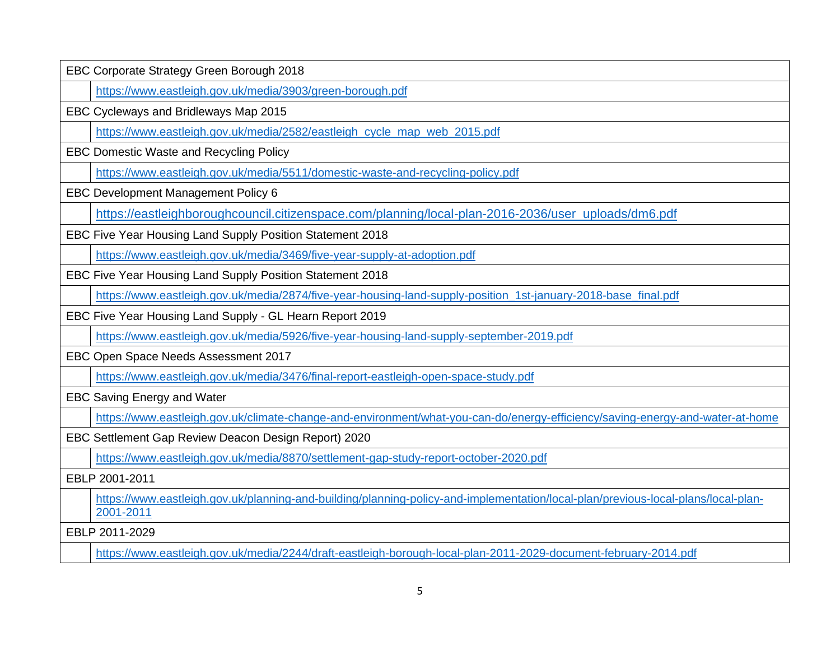| EBC Corporate Strategy Green Borough 2018                                                                                                      |  |
|------------------------------------------------------------------------------------------------------------------------------------------------|--|
| https://www.eastleigh.gov.uk/media/3903/green-borough.pdf                                                                                      |  |
| EBC Cycleways and Bridleways Map 2015                                                                                                          |  |
| https://www.eastleigh.gov.uk/media/2582/eastleigh cycle map web 2015.pdf                                                                       |  |
| EBC Domestic Waste and Recycling Policy                                                                                                        |  |
| https://www.eastleigh.gov.uk/media/5511/domestic-waste-and-recycling-policy.pdf                                                                |  |
| <b>EBC Development Management Policy 6</b>                                                                                                     |  |
| https://eastleighboroughcouncil.citizenspace.com/planning/local-plan-2016-2036/user_uploads/dm6.pdf                                            |  |
| EBC Five Year Housing Land Supply Position Statement 2018                                                                                      |  |
| https://www.eastleigh.gov.uk/media/3469/five-year-supply-at-adoption.pdf                                                                       |  |
| EBC Five Year Housing Land Supply Position Statement 2018                                                                                      |  |
| https://www.eastleigh.gov.uk/media/2874/five-year-housing-land-supply-position_1st-january-2018-base_final.pdf                                 |  |
| EBC Five Year Housing Land Supply - GL Hearn Report 2019                                                                                       |  |
| https://www.eastleigh.gov.uk/media/5926/five-year-housing-land-supply-september-2019.pdf                                                       |  |
| EBC Open Space Needs Assessment 2017                                                                                                           |  |
| https://www.eastleigh.gov.uk/media/3476/final-report-eastleigh-open-space-study.pdf                                                            |  |
| <b>EBC Saving Energy and Water</b>                                                                                                             |  |
| https://www.eastleigh.gov.uk/climate-change-and-environment/what-you-can-do/energy-efficiency/saving-energy-and-water-at-home                  |  |
| EBC Settlement Gap Review Deacon Design Report) 2020                                                                                           |  |
| https://www.eastleigh.gov.uk/media/8870/settlement-gap-study-report-october-2020.pdf                                                           |  |
| EBLP 2001-2011                                                                                                                                 |  |
| https://www.eastleigh.gov.uk/planning-and-building/planning-policy-and-implementation/local-plan/previous-local-plans/local-plan-<br>2001-2011 |  |
| EBLP 2011-2029                                                                                                                                 |  |

<https://www.eastleigh.gov.uk/media/2244/draft-eastleigh-borough-local-plan-2011-2029-document-february-2014.pdf>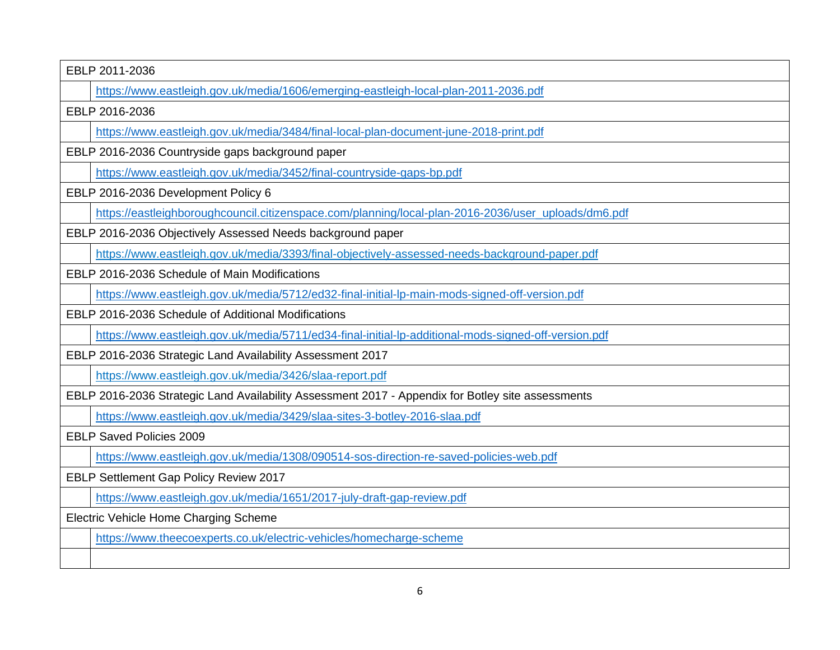| EBLP 2011-2036                        |                                                                                                      |  |
|---------------------------------------|------------------------------------------------------------------------------------------------------|--|
|                                       | https://www.eastleigh.gov.uk/media/1606/emerging-eastleigh-local-plan-2011-2036.pdf                  |  |
|                                       | EBLP 2016-2036                                                                                       |  |
|                                       | https://www.eastleigh.gov.uk/media/3484/final-local-plan-document-june-2018-print.pdf                |  |
|                                       | EBLP 2016-2036 Countryside gaps background paper                                                     |  |
|                                       | https://www.eastleigh.gov.uk/media/3452/final-countryside-gaps-bp.pdf                                |  |
|                                       | EBLP 2016-2036 Development Policy 6                                                                  |  |
|                                       | https://eastleighboroughcouncil.citizenspace.com/planning/local-plan-2016-2036/user_uploads/dm6.pdf  |  |
|                                       | EBLP 2016-2036 Objectively Assessed Needs background paper                                           |  |
|                                       | https://www.eastleigh.gov.uk/media/3393/final-objectively-assessed-needs-background-paper.pdf        |  |
|                                       | EBLP 2016-2036 Schedule of Main Modifications                                                        |  |
|                                       | https://www.eastleigh.gov.uk/media/5712/ed32-final-initial-lp-main-mods-signed-off-version.pdf       |  |
|                                       | EBLP 2016-2036 Schedule of Additional Modifications                                                  |  |
|                                       | https://www.eastleigh.gov.uk/media/5711/ed34-final-initial-lp-additional-mods-signed-off-version.pdf |  |
|                                       | EBLP 2016-2036 Strategic Land Availability Assessment 2017                                           |  |
|                                       | https://www.eastleigh.gov.uk/media/3426/slaa-report.pdf                                              |  |
|                                       | EBLP 2016-2036 Strategic Land Availability Assessment 2017 - Appendix for Botley site assessments    |  |
|                                       | https://www.eastleigh.gov.uk/media/3429/slaa-sites-3-botley-2016-slaa.pdf                            |  |
|                                       | <b>EBLP Saved Policies 2009</b>                                                                      |  |
|                                       | https://www.eastleigh.gov.uk/media/1308/090514-sos-direction-re-saved-policies-web.pdf               |  |
|                                       | EBLP Settlement Gap Policy Review 2017                                                               |  |
|                                       | https://www.eastleigh.gov.uk/media/1651/2017-july-draft-gap-review.pdf                               |  |
| Electric Vehicle Home Charging Scheme |                                                                                                      |  |
|                                       | https://www.theecoexperts.co.uk/electric-vehicles/homecharge-scheme                                  |  |
|                                       |                                                                                                      |  |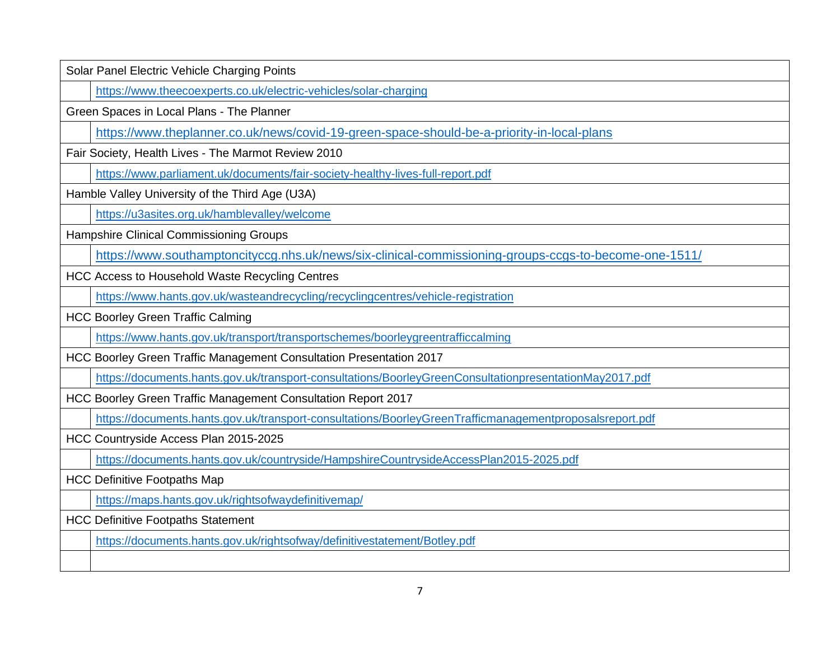| Solar Panel Electric Vehicle Charging Points                                                            |
|---------------------------------------------------------------------------------------------------------|
| https://www.theecoexperts.co.uk/electric-vehicles/solar-charging                                        |
| Green Spaces in Local Plans - The Planner                                                               |
| https://www.theplanner.co.uk/news/covid-19-green-space-should-be-a-priority-in-local-plans              |
| Fair Society, Health Lives - The Marmot Review 2010                                                     |
| https://www.parliament.uk/documents/fair-society-healthy-lives-full-report.pdf                          |
| Hamble Valley University of the Third Age (U3A)                                                         |
| https://u3asites.org.uk/hamblevalley/welcome                                                            |
| Hampshire Clinical Commissioning Groups                                                                 |
| https://www.southamptoncityccg.nhs.uk/news/six-clinical-commissioning-groups-ccgs-to-become-one-1511/   |
| <b>HCC Access to Household Waste Recycling Centres</b>                                                  |
| https://www.hants.gov.uk/wasteandrecycling/recyclingcentres/vehicle-registration                        |
| <b>HCC Boorley Green Traffic Calming</b>                                                                |
| https://www.hants.gov.uk/transport/transportschemes/boorleygreentrafficcalming                          |
| HCC Boorley Green Traffic Management Consultation Presentation 2017                                     |
| https://documents.hants.gov.uk/transport-consultations/BoorleyGreenConsultationpresentationMay2017.pdf  |
| HCC Boorley Green Traffic Management Consultation Report 2017                                           |
| https://documents.hants.gov.uk/transport-consultations/BoorleyGreenTrafficmanagementproposalsreport.pdf |
| HCC Countryside Access Plan 2015-2025                                                                   |
| https://documents.hants.gov.uk/countryside/HampshireCountrysideAccessPlan2015-2025.pdf                  |
| <b>HCC Definitive Footpaths Map</b>                                                                     |
| https://maps.hants.gov.uk/rightsofwaydefinitivemap/                                                     |
| <b>HCC Definitive Footpaths Statement</b>                                                               |
| https://documents.hants.gov.uk/rightsofway/definitivestatement/Botley.pdf                               |
|                                                                                                         |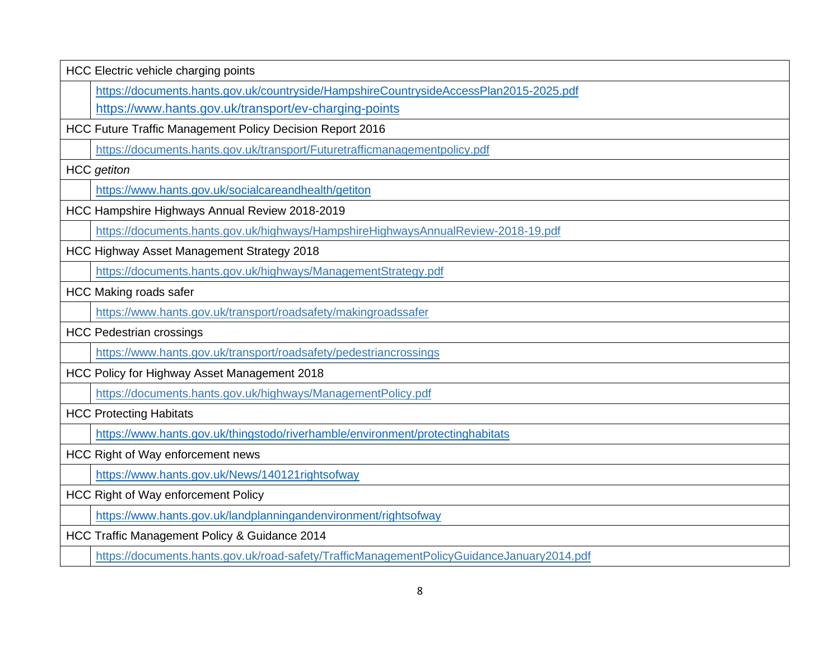| HCC Electric vehicle charging points                                                      |  |
|-------------------------------------------------------------------------------------------|--|
| https://documents.hants.gov.uk/countryside/HampshireCountrysideAccessPlan2015-2025.pdf    |  |
| https://www.hants.gov.uk/transport/ev-charging-points                                     |  |
| HCC Future Traffic Management Policy Decision Report 2016                                 |  |
| https://documents.hants.gov.uk/transport/Futuretrafficmanagementpolicy.pdf                |  |
| <b>HCC</b> getiton                                                                        |  |
| https://www.hants.gov.uk/socialcareandhealth/getiton                                      |  |
| HCC Hampshire Highways Annual Review 2018-2019                                            |  |
| https://documents.hants.gov.uk/highways/HampshireHighwaysAnnualReview-2018-19.pdf         |  |
| HCC Highway Asset Management Strategy 2018                                                |  |
| https://documents.hants.gov.uk/highways/ManagementStrategy.pdf                            |  |
| <b>HCC Making roads safer</b>                                                             |  |
| https://www.hants.gov.uk/transport/roadsafety/makingroadssafer                            |  |
| <b>HCC Pedestrian crossings</b>                                                           |  |
| https://www.hants.gov.uk/transport/roadsafety/pedestriancrossings                         |  |
| HCC Policy for Highway Asset Management 2018                                              |  |
| https://documents.hants.gov.uk/highways/ManagementPolicy.pdf                              |  |
| <b>HCC Protecting Habitats</b>                                                            |  |
| https://www.hants.gov.uk/thingstodo/riverhamble/environment/protectinghabitats            |  |
| HCC Right of Way enforcement news                                                         |  |
| https://www.hants.gov.uk/News/140121rightsofway                                           |  |
| HCC Right of Way enforcement Policy                                                       |  |
| https://www.hants.gov.uk/landplanningandenvironment/rightsofway                           |  |
| HCC Traffic Management Policy & Guidance 2014                                             |  |
| https://documents.hants.gov.uk/road-safety/TrafficManagementPolicyGuidanceJanuary2014.pdf |  |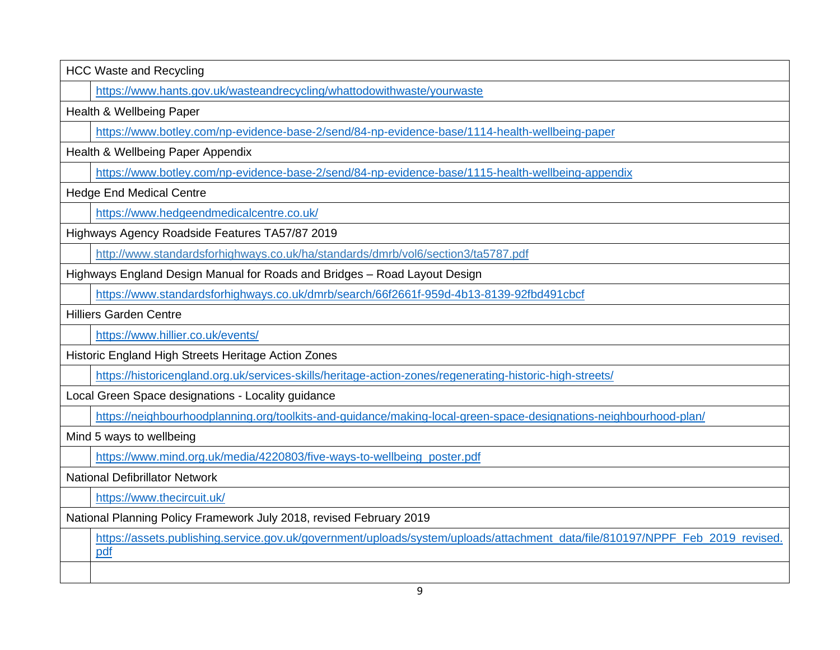| <b>HCC Waste and Recycling</b>                                                                                                       |  |  |
|--------------------------------------------------------------------------------------------------------------------------------------|--|--|
| https://www.hants.gov.uk/wasteandrecycling/whattodowithwaste/yourwaste                                                               |  |  |
| Health & Wellbeing Paper                                                                                                             |  |  |
| https://www.botley.com/np-evidence-base-2/send/84-np-evidence-base/1114-health-wellbeing-paper                                       |  |  |
| Health & Wellbeing Paper Appendix                                                                                                    |  |  |
| https://www.botley.com/np-evidence-base-2/send/84-np-evidence-base/1115-health-wellbeing-appendix                                    |  |  |
| <b>Hedge End Medical Centre</b>                                                                                                      |  |  |
| https://www.hedgeendmedicalcentre.co.uk/                                                                                             |  |  |
| Highways Agency Roadside Features TA57/87 2019                                                                                       |  |  |
| http://www.standardsforhighways.co.uk/ha/standards/dmrb/vol6/section3/ta5787.pdf                                                     |  |  |
| Highways England Design Manual for Roads and Bridges - Road Layout Design                                                            |  |  |
| https://www.standardsforhighways.co.uk/dmrb/search/66f2661f-959d-4b13-8139-92fbd491cbcf                                              |  |  |
| <b>Hilliers Garden Centre</b>                                                                                                        |  |  |
| https://www.hillier.co.uk/events/                                                                                                    |  |  |
| Historic England High Streets Heritage Action Zones                                                                                  |  |  |
| https://historicengland.org.uk/services-skills/heritage-action-zones/regenerating-historic-high-streets/                             |  |  |
| Local Green Space designations - Locality guidance                                                                                   |  |  |
| https://neighbourhoodplanning.org/toolkits-and-guidance/making-local-green-space-designations-neighbourhood-plan/                    |  |  |
| Mind 5 ways to wellbeing                                                                                                             |  |  |
| https://www.mind.org.uk/media/4220803/five-ways-to-wellbeing poster.pdf                                                              |  |  |
| <b>National Defibrillator Network</b>                                                                                                |  |  |
| https://www.thecircuit.uk/                                                                                                           |  |  |
| National Planning Policy Framework July 2018, revised February 2019                                                                  |  |  |
| https://assets.publishing.service.gov.uk/government/uploads/system/uploads/attachment_data/file/810197/NPPF_Feb_2019_revised.<br>pdf |  |  |
|                                                                                                                                      |  |  |
|                                                                                                                                      |  |  |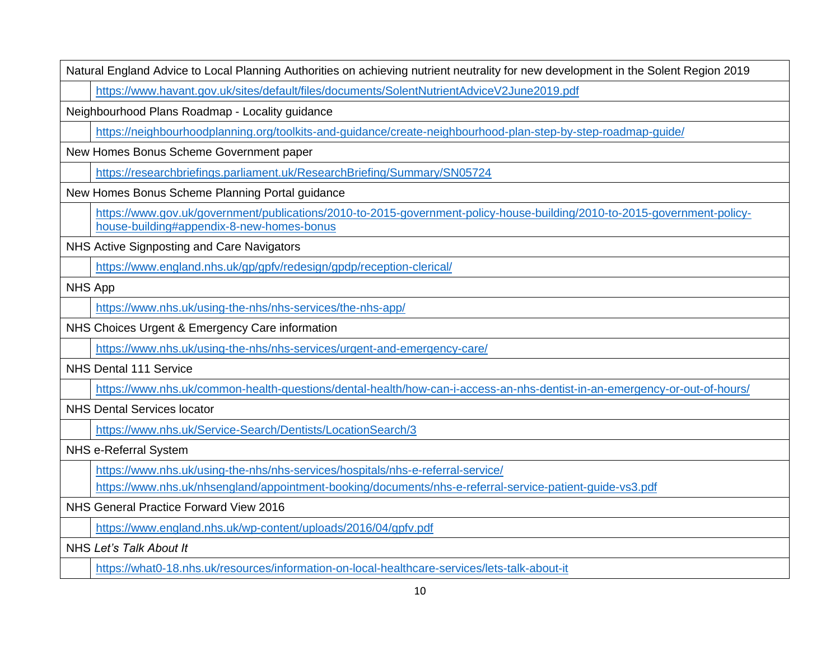|                | Natural England Advice to Local Planning Authorities on achieving nutrient neutrality for new development in the Solent Region 2019                                   |  |
|----------------|-----------------------------------------------------------------------------------------------------------------------------------------------------------------------|--|
|                | https://www.havant.gov.uk/sites/default/files/documents/SolentNutrientAdviceV2June2019.pdf                                                                            |  |
|                | Neighbourhood Plans Roadmap - Locality guidance                                                                                                                       |  |
|                | https://neighbourhoodplanning.org/toolkits-and-guidance/create-neighbourhood-plan-step-by-step-roadmap-guide/                                                         |  |
|                | New Homes Bonus Scheme Government paper                                                                                                                               |  |
|                | https://researchbriefings.parliament.uk/ResearchBriefing/Summary/SN05724                                                                                              |  |
|                | New Homes Bonus Scheme Planning Portal guidance                                                                                                                       |  |
|                | https://www.gov.uk/government/publications/2010-to-2015-government-policy-house-building/2010-to-2015-government-policy-<br>house-building#appendix-8-new-homes-bonus |  |
|                | NHS Active Signposting and Care Navigators                                                                                                                            |  |
|                | https://www.england.nhs.uk/gp/gpfv/redesign/gpdp/reception-clerical/                                                                                                  |  |
| <b>NHS App</b> |                                                                                                                                                                       |  |
|                | https://www.nhs.uk/using-the-nhs/nhs-services/the-nhs-app/                                                                                                            |  |
|                | NHS Choices Urgent & Emergency Care information                                                                                                                       |  |
|                | https://www.nhs.uk/using-the-nhs/nhs-services/urgent-and-emergency-care/                                                                                              |  |
|                | <b>NHS Dental 111 Service</b>                                                                                                                                         |  |
|                | https://www.nhs.uk/common-health-questions/dental-health/how-can-i-access-an-nhs-dentist-in-an-emergency-or-out-of-hours/                                             |  |
|                | <b>NHS Dental Services locator</b>                                                                                                                                    |  |
|                | https://www.nhs.uk/Service-Search/Dentists/LocationSearch/3                                                                                                           |  |
|                | NHS e-Referral System                                                                                                                                                 |  |
|                | https://www.nhs.uk/using-the-nhs/nhs-services/hospitals/nhs-e-referral-service/                                                                                       |  |
|                | https://www.nhs.uk/nhsengland/appointment-booking/documents/nhs-e-referral-service-patient-guide-vs3.pdf                                                              |  |
|                | NHS General Practice Forward View 2016                                                                                                                                |  |
|                | https://www.england.nhs.uk/wp-content/uploads/2016/04/gpfv.pdf                                                                                                        |  |
|                | NHS Let's Talk About It                                                                                                                                               |  |
|                | https://what0-18.nhs.uk/resources/information-on-local-healthcare-services/lets-talk-about-it                                                                         |  |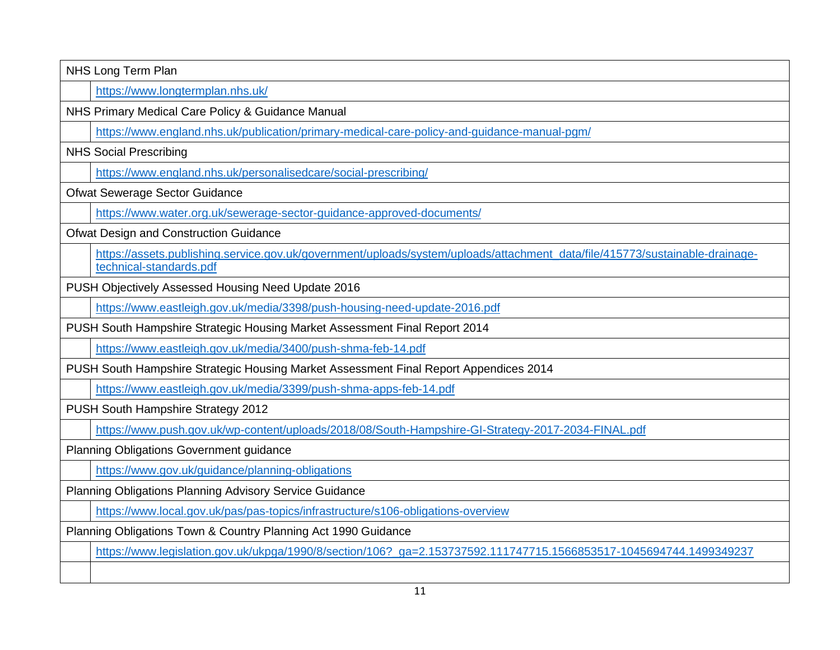| NHS Long Term Plan                                                                                                                                      |  |
|---------------------------------------------------------------------------------------------------------------------------------------------------------|--|
| https://www.longtermplan.nhs.uk/                                                                                                                        |  |
| NHS Primary Medical Care Policy & Guidance Manual                                                                                                       |  |
| https://www.england.nhs.uk/publication/primary-medical-care-policy-and-guidance-manual-pgm/                                                             |  |
| <b>NHS Social Prescribing</b>                                                                                                                           |  |
| https://www.england.nhs.uk/personalisedcare/social-prescribing/                                                                                         |  |
| Ofwat Sewerage Sector Guidance                                                                                                                          |  |
| https://www.water.org.uk/sewerage-sector-guidance-approved-documents/                                                                                   |  |
| Ofwat Design and Construction Guidance                                                                                                                  |  |
| https://assets.publishing.service.gov.uk/government/uploads/system/uploads/attachment_data/file/415773/sustainable-drainage-<br>technical-standards.pdf |  |
| PUSH Objectively Assessed Housing Need Update 2016                                                                                                      |  |
| https://www.eastleigh.gov.uk/media/3398/push-housing-need-update-2016.pdf                                                                               |  |
| PUSH South Hampshire Strategic Housing Market Assessment Final Report 2014                                                                              |  |
| https://www.eastleigh.gov.uk/media/3400/push-shma-feb-14.pdf                                                                                            |  |
| PUSH South Hampshire Strategic Housing Market Assessment Final Report Appendices 2014                                                                   |  |
| https://www.eastleigh.gov.uk/media/3399/push-shma-apps-feb-14.pdf                                                                                       |  |
| PUSH South Hampshire Strategy 2012                                                                                                                      |  |
| https://www.push.gov.uk/wp-content/uploads/2018/08/South-Hampshire-GI-Strategy-2017-2034-FINAL.pdf                                                      |  |
| <b>Planning Obligations Government guidance</b>                                                                                                         |  |
| https://www.gov.uk/guidance/planning-obligations                                                                                                        |  |
| Planning Obligations Planning Advisory Service Guidance                                                                                                 |  |
| https://www.local.gov.uk/pas/pas-topics/infrastructure/s106-obligations-overview                                                                        |  |
| Planning Obligations Town & Country Planning Act 1990 Guidance                                                                                          |  |
| https://www.legislation.gov.uk/ukpga/1990/8/section/106?_ga=2.153737592.111747715.1566853517-1045694744.1499349237                                      |  |
|                                                                                                                                                         |  |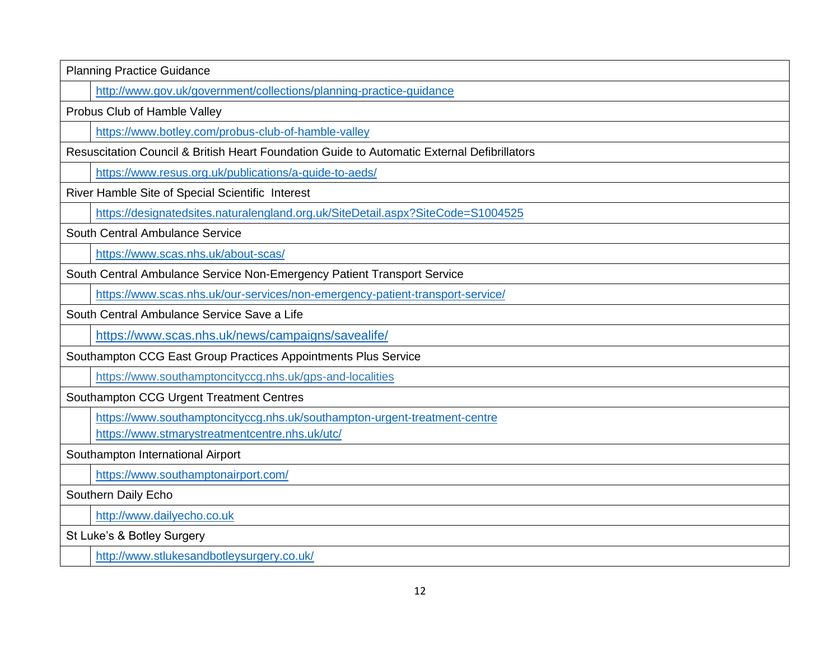| <b>Planning Practice Guidance</b>                                                           |  |
|---------------------------------------------------------------------------------------------|--|
| http://www.gov.uk/government/collections/planning-practice-guidance                         |  |
| Probus Club of Hamble Valley                                                                |  |
| https://www.botley.com/probus-club-of-hamble-valley                                         |  |
| Resuscitation Council & British Heart Foundation Guide to Automatic External Defibrillators |  |
| https://www.resus.org.uk/publications/a-guide-to-aeds/                                      |  |
| River Hamble Site of Special Scientific Interest                                            |  |
| https://designatedsites.naturalengland.org.uk/SiteDetail.aspx?SiteCode=S1004525             |  |
| South Central Ambulance Service                                                             |  |
| https://www.scas.nhs.uk/about-scas/                                                         |  |
| South Central Ambulance Service Non-Emergency Patient Transport Service                     |  |
| https://www.scas.nhs.uk/our-services/non-emergency-patient-transport-service/               |  |
| South Central Ambulance Service Save a Life                                                 |  |
| https://www.scas.nhs.uk/news/campaigns/savealife/                                           |  |
| Southampton CCG East Group Practices Appointments Plus Service                              |  |
| https://www.southamptoncityccg.nhs.uk/gps-and-localities                                    |  |
| Southampton CCG Urgent Treatment Centres                                                    |  |
| https://www.southamptoncityccg.nhs.uk/southampton-urgent-treatment-centre                   |  |
| https://www.stmarystreatmentcentre.nhs.uk/utc/                                              |  |
| Southampton International Airport                                                           |  |
| https://www.southamptonairport.com/                                                         |  |
| Southern Daily Echo                                                                         |  |
| http://www.dailyecho.co.uk                                                                  |  |
| St Luke's & Botley Surgery                                                                  |  |
| http://www.stlukesandbotleysurgery.co.uk/                                                   |  |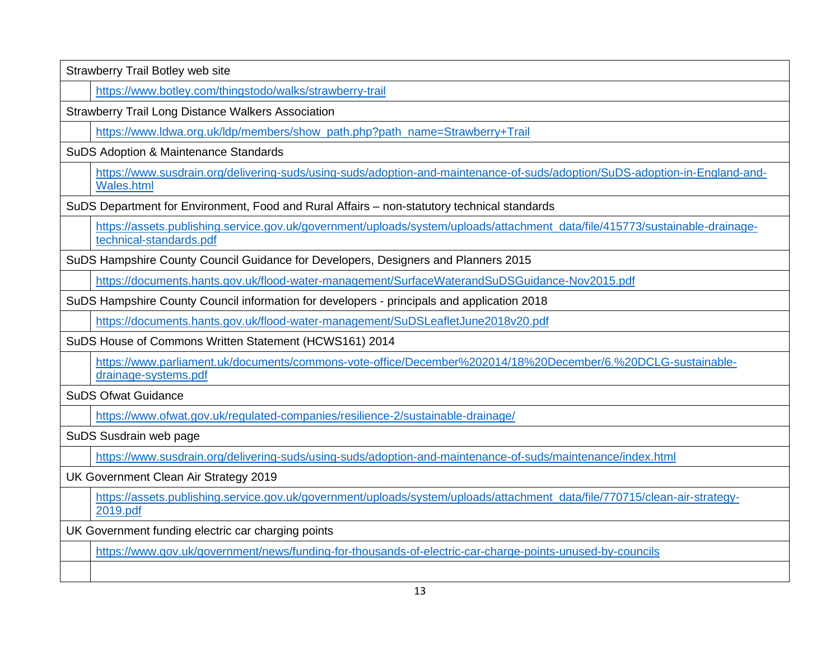| Strawberry Trail Botley web site                                                                                                                        |  |  |
|---------------------------------------------------------------------------------------------------------------------------------------------------------|--|--|
| https://www.botley.com/thingstodo/walks/strawberry-trail                                                                                                |  |  |
| <b>Strawberry Trail Long Distance Walkers Association</b>                                                                                               |  |  |
| https://www.ldwa.org.uk/ldp/members/show_path.php?path_name=Strawberry+Trail                                                                            |  |  |
| SuDS Adoption & Maintenance Standards                                                                                                                   |  |  |
| https://www.susdrain.org/delivering-suds/using-suds/adoption-and-maintenance-of-suds/adoption/SuDS-adoption-in-England-and-<br><b>Wales.html</b>        |  |  |
| SuDS Department for Environment, Food and Rural Affairs - non-statutory technical standards                                                             |  |  |
| https://assets.publishing.service.gov.uk/government/uploads/system/uploads/attachment_data/file/415773/sustainable-drainage-<br>technical-standards.pdf |  |  |
| SuDS Hampshire County Council Guidance for Developers, Designers and Planners 2015                                                                      |  |  |
| https://documents.hants.gov.uk/flood-water-management/SurfaceWaterandSuDSGuidance-Nov2015.pdf                                                           |  |  |
| SuDS Hampshire County Council information for developers - principals and application 2018                                                              |  |  |
| https://documents.hants.gov.uk/flood-water-management/SuDSLeafletJune2018v20.pdf                                                                        |  |  |
| SuDS House of Commons Written Statement (HCWS161) 2014                                                                                                  |  |  |
| https://www.parliament.uk/documents/commons-vote-office/December%202014/18%20December/6.%20DCLG-sustainable-<br>drainage-systems.pdf                    |  |  |
| <b>SuDS Ofwat Guidance</b>                                                                                                                              |  |  |
| https://www.ofwat.gov.uk/regulated-companies/resilience-2/sustainable-drainage/                                                                         |  |  |
| SuDS Susdrain web page                                                                                                                                  |  |  |
| https://www.susdrain.org/delivering-suds/using-suds/adoption-and-maintenance-of-suds/maintenance/index.html                                             |  |  |
| UK Government Clean Air Strategy 2019                                                                                                                   |  |  |
| https://assets.publishing.service.gov.uk/government/uploads/system/uploads/attachment_data/file/770715/clean-air-strategy-<br>2019.pdf                  |  |  |
| UK Government funding electric car charging points                                                                                                      |  |  |
| https://www.gov.uk/government/news/funding-for-thousands-of-electric-car-charge-points-unused-by-councils                                               |  |  |
|                                                                                                                                                         |  |  |